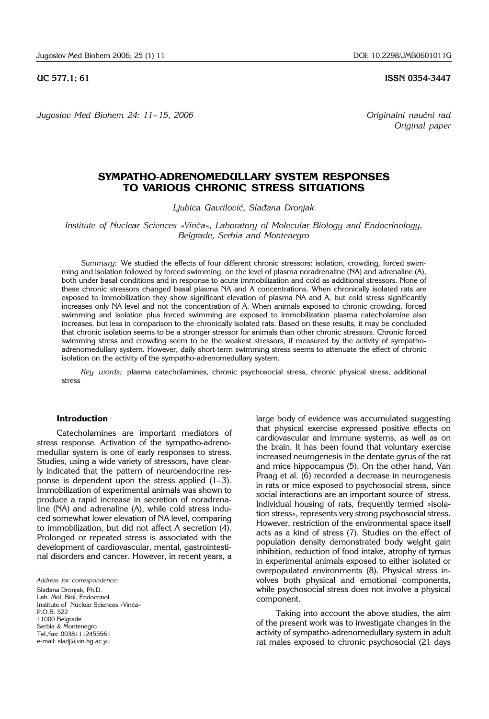**UC 577,1; 61 ISSN 0354-3447** 

*Original paper*

Jugoslov Med Biohem 24: 11–15, 2006 *Jugoslov Med Biohem 24: 11–15, 2006* 

## **SYMPATHO-ADRENOMEDULLARY SYSTEM RESPONSES TO VARIOUS CHRONIC STRESS SITUATIONS**

*Ljubica Gavrilovi}, Sla|ana Dronjak*

*Institute of Nuclear Sciences »Vinča«, Laboratory of Molecular Biology and Endocrinology, Belgrade, Serbia and Montenegro*

*Summary:* We studied the effects of four different chronic stressors: isolation, crowding, forced swimming and isolation followed by forced swimming, on the level of plasma noradrenaline (NA) and adrenaline (A), both under basal conditions and in response to acute immobilization and cold as additional stressors. None of these chronic stressors changed basal plasma NA and A concentrations. When chronically isolated rats are exposed to immobilization they show significant elevation of plasma NA and A, but cold stress significantly increases only NA level and not the concentration of A. When animals exposed to chronic crowding, forced swimming and isolation plus forced swimming are exposed to immobilization plasma catecholamine also increases, but less in comparison to the chronically isolated rats. Based on these results, it may be concluded that chronic isolation seems to be a stronger stressor for animals than other chronic stressors. Chronic forced swimming stress and crowding seem to be the weakest stressors, if measured by the activity of sympathoadrenomedullary system. However, daily short-term swimming stress seems to attenuate the effect of chronic isolation on the activity of the sympatho-adrenomedullary system.

*Key words:* plasma catecholamines, chronic psychosocial stress, chronic physical stress, additional stress

### **Introduction**

Catecholamines are important mediators of stress response. Activation of the sympatho-adrenomedullar system is one of early responses to stress. Studies, using a wide variety of stressors, have clearly indicated that the pattern of neuroendocrine response is dependent upon the stress applied (1–3). Immobilization of experimental animals was shown to produce a rapid increase in secretion of noradrenaline (NA) and adrenaline (A), while cold stress induced somewhat lower elevation of NA level, comparing to immobilization, but did not affect A secretion (4). Prolonged or repeated stress is associated with the development of cardiovascular, mental, gastrointestinal disorders and cancer. However, in recent years, a

*Address for correspondence:* 

Slađana Dronjak, Ph.D. Lab. Mol. Biol. Endocrinol. Institute of Nuclear Sciences »Vinča« P.O.B. 522 11000 Belgrade Serbia & Montenegro Tel./fax: 00381112455561 e-mail: sladj@vin.bg.ac.yu

large body of evidence was accumulated suggesting that physical exercise expressed positive effects on cardiovascular and immune systems, as well as on the brain. It has been found that voluntary exercise increased neurogenesis in the dentate gyrus of the rat and mice hippocampus (5). On the other hand, Van Praag et al. (6) recorded a decrease in neurogenesis in rats or mice exposed to psychosocial stress, since social interactions are an important source of stress. Individual housing of rats, frequently termed »isolation stress«, represents very strong psychosocial stress. However, restriction of the environmental space itself acts as a kind of stress (7). Studies on the effect of population density demonstrated body weight gain inhibition, reduction of food intake, atrophy of tymus in experimental animals exposed to either isolated or overpopulated environments (8). Physical stress involves both physical and emotional components, while psychosocial stress does not involve a physical component.

Taking into account the above studies, the aim of the present work was to investigate changes in the activity of sympatho-adrenomedullary system in adult rat males exposed to chronic psychosocial (21 days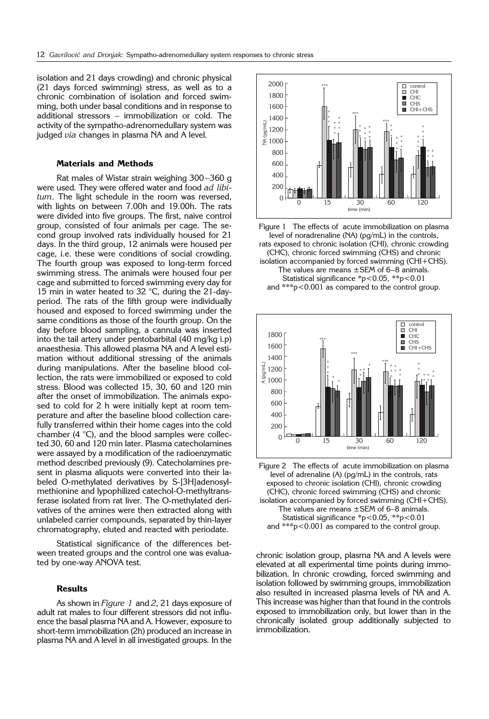isolation and 21 days crowding) and chronic physical (21 days forced swimming) stress, as well as to a chronic combination of isolation and forced swimming, both under basal conditions and in response to additional stressors – immobilization or cold. The activity of the sympatho-adrenomedullary system was judged *via* changes in plasma NA and A level.

### **Materials and Methods**

Rat males of Wistar strain weighing 300 –360 g were used. They were offered water and food *ad libitum*. The light schedule in the room was reversed, with lights on between 7.00h and 19.00h. The rats were divided into five groups. The first, naive control group, consisted of four animals per cage. The second group involved rats individually housed for 21 days. In the third group, 12 animals were housed per cage, i.e. these were conditions of social crowding. The fourth group was exposed to long-term forced swimming stress. The animals were housed four per cage and submitted to forced swimming every day for 15 min in water heated to 32 °C, during the 21-dayperiod. The rats of the fifth group were individually housed and exposed to forced swimming under the same conditions as those of the fourth group. On the day before blood sampling, a cannula was inserted into the tail artery under pentobarbital (40 mg/kg i.p) anaesthesia. This allowed plasma NA and A level estimation without additional stressing of the animals during manipulations. After the baseline blood collection, the rats were immobilized or exposed to cold stress. Blood was collected 15, 30, 60 and 120 min after the onset of immobilization. The animals exposed to cold for 2 h were initially kept at room temperature and after the baseline blood collection carefully transferred within their home cages into the cold chamber (4 °C), and the blood samples were collected 30, 60 and 120 min later. Plasma catecholamines were assayed by a modification of the radioenzymatic method described previously (9). Catecholamines present in plasma aliquots were converted into their labeled O-methylated derivatives by S-[3H]adenosylmethionine and lypophilized catechol-O-methyltransferase isolated from rat liver. The O-methylated derivatives of the amines were then extracted along with unlabeled carrier compounds, separated by thin-layer chromatography, eluted and reacted with periodate.

Statistical significance of the differences between treated groups and the control one was evaluated by one-way ANOVA test.

## **Results**

As shown in *Figure 1* and *2*, 21 days exposure of adult rat males to four different stressors did not influence the basal plasma NA and A. However, exposure to short-term immobilization (2h) produced an increase in plasma NA and A level in all investigated groups. In the



Figure 1 The effects of acute immobilization on plasma level of noradrenaline (NA) (pg/mL) in the controls, rats exposed to chronic isolation (CHI), chronic crowding (CHC), chronic forced swimming (CHS) and chronic isolation accompanied by forced swimming (CHI+CHS). The values are means  $\pm$  SEM of 6–8 animals. Statistical significance \*p<0.05, \*\*p<0.01 and \*\*\*p<0.001 as compared to the control group.



Figure 2 The effects of acute immobilization on plasma level of adrenaline (A) (pg/mL) in the controls, rats exposed to chronic isolation (CHI), chronic crowding (CHC), chronic forced swimming (CHS) and chronic isolation accompanied by forced swimming (CHI+CHS). The values are means  $\pm$  SEM of 6–8 animals. Statistical significance \*p<0.05, \*\*p<0.01 and \*\*\*p<0.001 as compared to the control group.

chronic isolation group, plasma NA and A levels were elevated at all experimental time points during immobilization. In chronic crowding, forced swimming and isolation followed by swimming groups, immobilization also resulted in increased plasma levels of NA and A. This increase was higher than that found in the controls exposed to immobilization only, but lower than in the chronically isolated group additionally subjected to immobilization.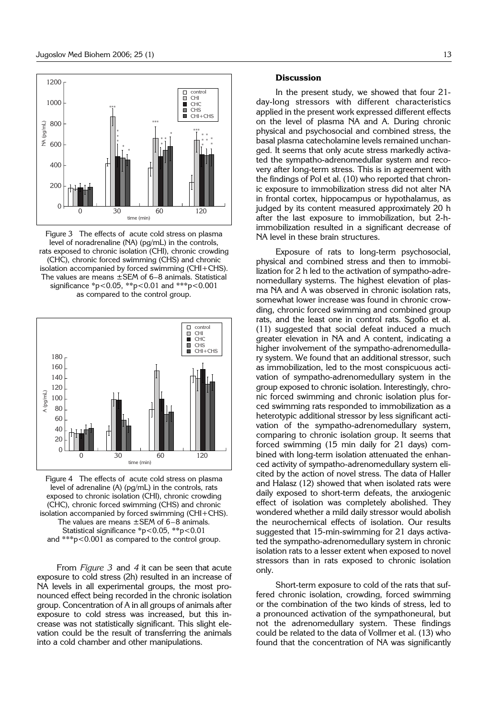

Figure 3 The effects of acute cold stress on plasma level of noradrenaline (NA) (pg/mL) in the controls, rats exposed to chronic isolation (CHI), chronic crowding (CHC), chronic forced swimming (CHS) and chronic isolation accompanied by forced swimming (CHI+CHS). The values are means ±SEM of 6–8 animals. Statistical significance \*p<0.05, \*\*p<0.01 and \*\*\*p<0.001 as compared to the control group.



Figure 4 The effects of acute cold stress on plasma level of adrenaline (A) (pg/mL) in the controls, rats exposed to chronic isolation (CHI), chronic crowding (CHC), chronic forced swimming (CHS) and chronic isolation accompanied by forced swimming (CHI+CHS). The values are means  $\pm$  SEM of 6-8 animals. Statistical significance \*p<0.05, \*\*p<0.01 and \*\*\*p<0.001 as compared to the control group.

From *Figure 3* and *4* it can be seen that acute exposure to cold stress (2h) resulted in an increase of NA levels in all experimental groups, the most pronounced effect being recorded in the chronic isolation group. Concentration of A in all groups of animals after exposure to cold stress was increased, but this increase was not statistically significant. This slight elevation could be the result of transferring the animals into a cold chamber and other manipulations.

#### **Discussion**

In the present study, we showed that four 21 day-long stressors with different characteristics applied in the present work expressed different effects on the level of plasma NA and A. During chronic physical and psychosocial and combined stress, the basal plasma catecholamine levels remained unchanged. It seems that only acute stress markedly activated the sympatho-adrenomedullar system and recovery after long-term stress. This is in agreement with the findings of Pol et al. (10) who reported that chronic exposure to immobilization stress did not alter NA in frontal cortex, hippocampus or hypothalamus, as judged by its content measured approximately 20 h after the last exposure to immobilization, but 2-himmobilization resulted in a significant decrease of NA level in these brain structures.

Exposure of rats to long-term psychosocial, physical and combined stress and then to immobilization for 2 h led to the activation of sympatho-adrenomedullary systems. The highest elevation of plasma NA and A was observed in chronic isolation rats, somewhat lower increase was found in chronic crowding, chronic forced swimming and combined group rats, and the least one in control rats. Sgofio et al. (11) suggested that social defeat induced a much greater elevation in NA and A content, indicating a higher involvement of the sympatho-adrenomedullary system. We found that an additional stressor, such as immobilization, led to the most conspicuous activation of sympatho-adrenomedullary system in the group exposed to chronic isolation. Interestingly, chronic forced swimming and chronic isolation plus forced swimming rats responded to immobilization as a heterotypic additional stressor by less significant activation of the sympatho-adrenomedullary system, comparing to chronic isolation group. It seems that forced swimming (15 min daily for 21 days) combined with long-term isolation attenuated the enhanced activity of sympatho-adrenomedullary system elicited by the action of novel stress. The data of Haller and Halasz (12) showed that when isolated rats were daily exposed to short-term defeats, the anxiogenic effect of isolation was completely abolished. They wondered whether a mild daily stressor would abolish the neurochemical effects of isolation. Our results suggested that 15-min-swimming for 21 days activated the sympatho-adrenomedullary system in chronic isolation rats to a lesser extent when exposed to novel stressors than in rats exposed to chronic isolation only.

Short-term exposure to cold of the rats that suffered chronic isolation, crowding, forced swimming or the combination of the two kinds of stress, led to a pronounced activation of the sympathoneural, but not the adrenomedullary system. These findings could be related to the data of Vollmer et al. (13) who found that the concentration of NA was significantly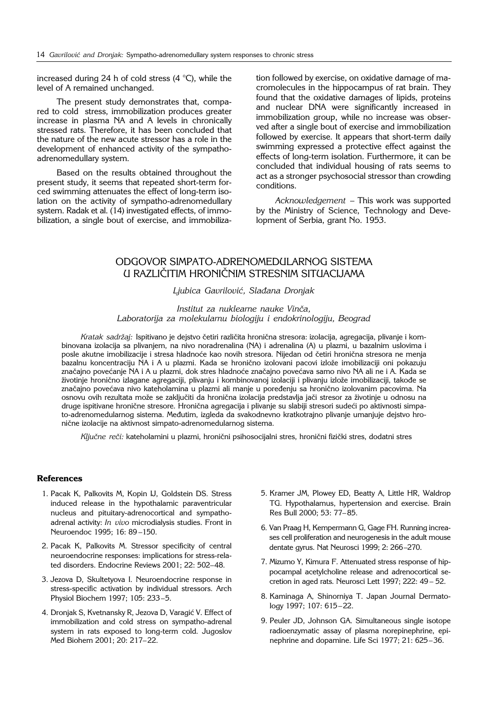increased during 24 h of cold stress (4 °C), while the level of A remained unchanged.

The present study demonstrates that, compared to cold stress, immobilization produces greater increase in plasma NA and A levels in chronically stressed rats. Therefore, it has been concluded that the nature of the new acute stressor has a role in the development of enhanced activity of the sympathoadrenomedullary system.

Based on the results obtained throughout the present study, it seems that repeated short-term forced swimming attenuates the effect of long-term isolation on the activity of sympatho-adrenomedullary system. Radak et al. (14) investigated effects, of immobilization, a single bout of exercise, and immobiliza-

tion followed by exercise, on oxidative damage of macromolecules in the hippocampus of rat brain. They found that the oxidative damages of lipids, proteins and nuclear DNA were significantly increased in immobilization group, while no increase was observed after a single bout of exercise and immobilization followed by exercise. It appears that short-term daily swimming expressed a protective effect against the effects of long-term isolation. Furthermore, it can be concluded that individual housing of rats seems to act as a stronger psychosocial stressor than crowding conditions.

*Acknowledgement* – This work was supported by the Ministry of Science, Technology and Development of Serbia, grant No. 1953.

# ODGOVOR SIMPATO-ADRENOMED(II ARNOG SISTEMA U RAZLIČITIM HRONIČNIM STRESNIM SITUACIJAMA

## *Ljubica Gavrilovi}, Sla|ana Dronjak*

*Institut za nuklearne nauke Vinča, Laboratorija za molekularnu biologiju i endokrinologiju, Beograd*

*Kratak sadržaj: Ispitivano je dejstvo četiri različita hronična stresora: izolacija, agregacija, plivanje i kom*binovana izolacija sa plivanjem, na nivo noradrenalina (NA) i adrenalina (A) u plazmi, u bazalnim uslovima i posle akutne imobilizacije i stresa hladnoće kao novih stresora. Nijedan od četiri hronična stresora ne menja bazalnu koncentraciju NA i A u plazmi. Kada se hronično izolovani pacovi izlože imobilizaciji oni pokazuju značajno povećanje NA i A u plazmi, dok stres hladnoće značajno povećava samo nivo NA ali ne i A. Kada se životinje hronično izlagane agregaciji, plivanju i kombinovanoj izolaciji i plivanju izlože imobilizaciji, takođe se značajno povećava nivo kateholamina u plazmi ali manje u poređenju sa hronično izolovanim pacovima. Na osnovu ovih rezultata može se zaključiti da hronična izolacija predstavlja jači stresor za životinje u odnosu na druge ispitivane hronične stresore. Hronična agregacija i plivanje su slabiji stresori sudeći po aktivnosti simpato-adrenomedularnog sistema. Međutim, izgleda da svakodnevno kratkotrajno plivanje umanjuje dejstvo hronične izolacije na aktivnost simpato-adrenomedularnog sistema.

Ključne reči: kateholamini u plazmi, hronični psihosocijalni stres, hronični fizički stres, dodatni stres

## **References**

- 1. Pacak K, Palkovits M, Kopin IJ, Goldstein DS. Stress induced release in the hypothalamic paraventricular nucleus and pituitary-adrenocortical and sympathoadrenal activity: *In vivo* microdialysis studies. Front in Neuroendoc 1995; 16: 89 –150.
- 2. Pacak K, Palkovits M. Stressor specificity of central neuroendocrine responses: implications for stress-related disorders. Endocrine Reviews 2001; 22: 502–48.
- 3. Jezova D, Skultetyova I. Neuroendocrine response in stress-specific activation by individual stressors. Arch Physiol Biochem 1997; 105: 233–5.
- 4. Dronjak S, Kvetnansky R, Jezova D, Varagić V. Effect of immobilization and cold stress on sympatho-adrenal system in rats exposed to long-term cold. Jugoslov Med Biohem 2001; 20: 217–22.
- 5. Kramer JM, Plowey ED, Beatty A, Little HR, Waldrop TG. Hypothalamus, hypertension and exercise. Brain Res Bull 2000; 53: 77–85.
- 6. Van Praag H, Kempermann G, Gage FH. Running increases cell proliferation and neurogenesis in the adult mouse dentate gyrus. Nat Neurosci 1999; 2: 266–270.
- 7. Mizumo Y, Kimura F. Attenuated stress response of hippocampal acetylcholine release and adrenocortical secretion in aged rats. Neurosci Lett 1997; 222: 49 – 52.
- 8. Kaminaga A, Shinorniya T. Japan Journal Dermatology 1997; 107: 615–22.
- 9. Peuler JD, Johnson GA. Simultaneous single isotope radioenzymatic assay of plasma norepinephrine, epinephrine and dopamine. Life Sci 1977; 21: 625–36.